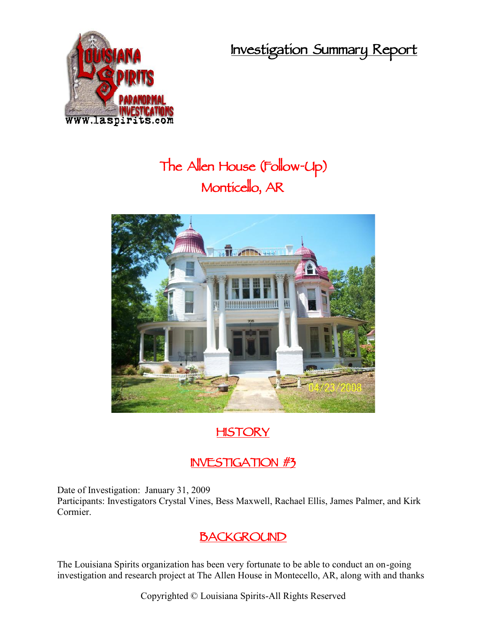**Investigation Summary Report**



# **The Allen House (Follow-Up) Monticello, AR**



# **HISTORY**

# **INVESTIGATION #3**

Date of Investigation: January 31, 2009

Participants: Investigators Crystal Vines, Bess Maxwell, Rachael Ellis, James Palmer, and Kirk Cormier.

# **BACKGROUND**

The Louisiana Spirits organization has been very fortunate to be able to conduct an on-going investigation and research project at The Allen House in Montecello, AR, along with and thanks

Copyrighted © Louisiana Spirits-All Rights Reserved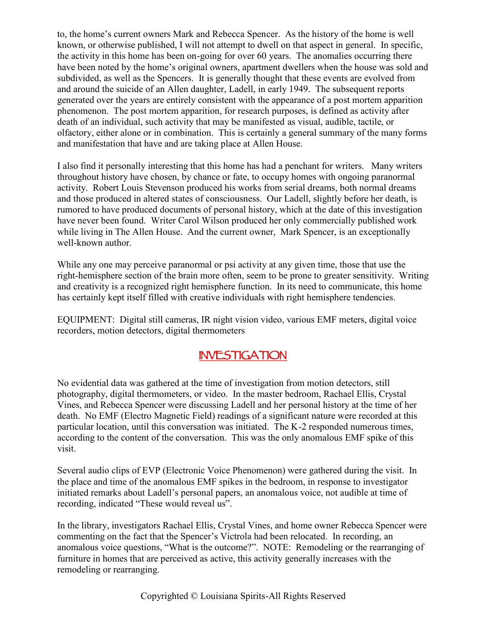to, the home's current owners Mark and Rebecca Spencer. As the history of the home is well known, or otherwise published, I will not attempt to dwell on that aspect in general. In specific, the activity in this home has been on-going for over 60 years. The anomalies occurring there have been noted by the home's original owners, apartment dwellers when the house was sold and subdivided, as well as the Spencers. It is generally thought that these events are evolved from and around the suicide of an Allen daughter, Ladell, in early 1949. The subsequent reports generated over the years are entirely consistent with the appearance of a post mortem apparition phenomenon. The post mortem apparition, for research purposes, is defined as activity after death of an individual, such activity that may be manifested as visual, audible, tactile, or olfactory, either alone or in combination. This is certainly a general summary of the many forms and manifestation that have and are taking place at Allen House.

I also find it personally interesting that this home has had a penchant for writers. Many writers throughout history have chosen, by chance or fate, to occupy homes with ongoing paranormal activity. Robert Louis Stevenson produced his works from serial dreams, both normal dreams and those produced in altered states of consciousness. Our Ladell, slightly before her death, is rumored to have produced documents of personal history, which at the date of this investigation have never been found. Writer Carol Wilson produced her only commercially published work while living in The Allen House. And the current owner, Mark Spencer, is an exceptionally well-known author.

While any one may perceive paranormal or psi activity at any given time, those that use the right-hemisphere section of the brain more often, seem to be prone to greater sensitivity. Writing and creativity is a recognized right hemisphere function. In its need to communicate, this home has certainly kept itself filled with creative individuals with right hemisphere tendencies.

EQUIPMENT: Digital still cameras, IR night vision video, various EMF meters, digital voice recorders, motion detectors, digital thermometers

### **INVESTIGATION**

No evidential data was gathered at the time of investigation from motion detectors, still photography, digital thermometers, or video. In the master bedroom, Rachael Ellis, Crystal Vines, and Rebecca Spencer were discussing Ladell and her personal history at the time of her death. No EMF (Electro Magnetic Field) readings of a significant nature were recorded at this particular location, until this conversation was initiated. The K-2 responded numerous times, according to the content of the conversation. This was the only anomalous EMF spike of this visit.

Several audio clips of EVP (Electronic Voice Phenomenon) were gathered during the visit. In the place and time of the anomalous EMF spikes in the bedroom, in response to investigator initiated remarks about Ladell's personal papers, an anomalous voice, not audible at time of recording, indicated "These would reveal us".

In the library, investigators Rachael Ellis, Crystal Vines, and home owner Rebecca Spencer were commenting on the fact that the Spencer's Victrola had been relocated. In recording, an anomalous voice questions, "What is the outcome?". NOTE: Remodeling or the rearranging of furniture in homes that are perceived as active, this activity generally increases with the remodeling or rearranging.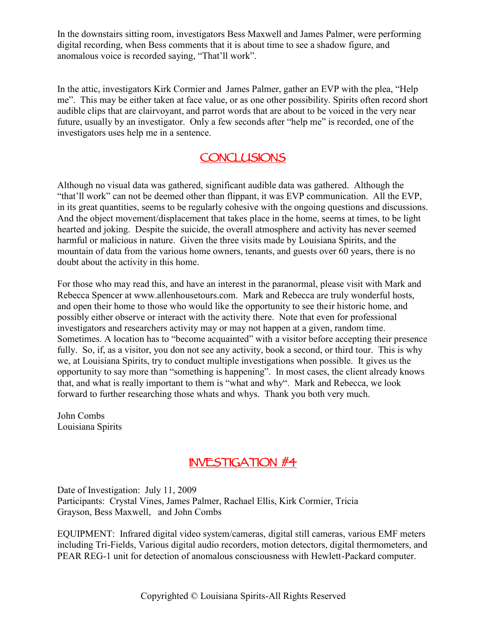In the downstairs sitting room, investigators Bess Maxwell and James Palmer, were performing digital recording, when Bess comments that it is about time to see a shadow figure, and anomalous voice is recorded saying, "That'll work".

In the attic, investigators Kirk Cormier and James Palmer, gather an EVP with the plea, "Help me". This may be either taken at face value, or as one other possibility. Spirits often record short audible clips that are clairvoyant, and parrot words that are about to be voiced in the very near future, usually by an investigator. Only a few seconds after "help me" is recorded, one of the investigators uses help me in a sentence.

#### **CONCLUSIONS**

Although no visual data was gathered, significant audible data was gathered. Although the "that'll work" can not be deemed other than flippant, it was EVP communication. All the EVP, in its great quantities, seems to be regularly cohesive with the ongoing questions and discussions. And the object movement/displacement that takes place in the home, seems at times, to be light hearted and joking. Despite the suicide, the overall atmosphere and activity has never seemed harmful or malicious in nature. Given the three visits made by Louisiana Spirits, and the mountain of data from the various home owners, tenants, and guests over 60 years, there is no doubt about the activity in this home.

For those who may read this, and have an interest in the paranormal, please visit with Mark and Rebecca Spencer at www.allenhousetours.com. Mark and Rebecca are truly wonderful hosts, and open their home to those who would like the opportunity to see their historic home, and possibly either observe or interact with the activity there. Note that even for professional investigators and researchers activity may or may not happen at a given, random time. Sometimes. A location has to "become acquainted" with a visitor before accepting their presence fully. So, if, as a visitor, you don not see any activity, book a second, or third tour. This is why we, at Louisiana Spirits, try to conduct multiple investigations when possible. It gives us the opportunity to say more than "something is happening". In most cases, the client already knows that, and what is really important to them is "what and why". Mark and Rebecca, we look forward to further researching those whats and whys. Thank you both very much.

John Combs Louisiana Spirits

# **INVESTIGATION #4**

Date of Investigation: July 11, 2009 Participants: Crystal Vines, James Palmer, Rachael Ellis, Kirk Cormier, Tricia Grayson, Bess Maxwell, and John Combs

EQUIPMENT: Infrared digital video system/cameras, digital still cameras, various EMF meters including Tri-Fields, Various digital audio recorders, motion detectors, digital thermometers, and PEAR REG-1 unit for detection of anomalous consciousness with Hewlett-Packard computer.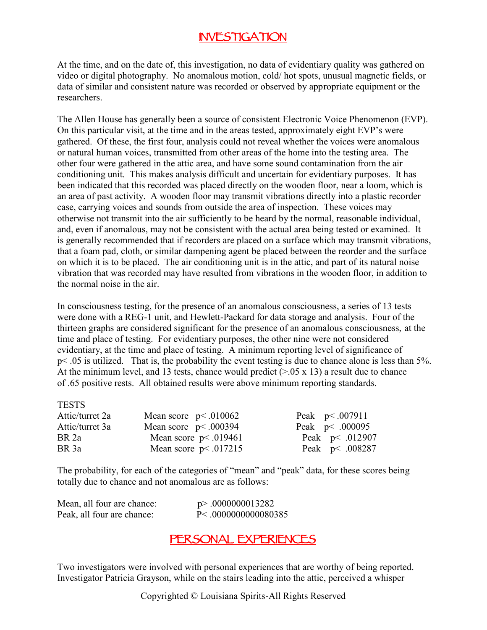## **INVESTIGATION**

At the time, and on the date of, this investigation, no data of evidentiary quality was gathered on video or digital photography. No anomalous motion, cold/ hot spots, unusual magnetic fields, or data of similar and consistent nature was recorded or observed by appropriate equipment or the researchers.

The Allen House has generally been a source of consistent Electronic Voice Phenomenon (EVP). On this particular visit, at the time and in the areas tested, approximately eight EVP's were gathered. Of these, the first four, analysis could not reveal whether the voices were anomalous or natural human voices, transmitted from other areas of the home into the testing area. The other four were gathered in the attic area, and have some sound contamination from the air conditioning unit. This makes analysis difficult and uncertain for evidentiary purposes. It has been indicated that this recorded was placed directly on the wooden floor, near a loom, which is an area of past activity. A wooden floor may transmit vibrations directly into a plastic recorder case, carrying voices and sounds from outside the area of inspection. These voices may otherwise not transmit into the air sufficiently to be heard by the normal, reasonable individual, and, even if anomalous, may not be consistent with the actual area being tested or examined. It is generally recommended that if recorders are placed on a surface which may transmit vibrations, that a foam pad, cloth, or similar dampening agent be placed between the reorder and the surface on which it is to be placed. The air conditioning unit is in the attic, and part of its natural noise vibration that was recorded may have resulted from vibrations in the wooden floor, in addition to the normal noise in the air.

In consciousness testing, for the presence of an anomalous consciousness, a series of 13 tests were done with a REG-1 unit, and Hewlett-Packard for data storage and analysis. Four of the thirteen graphs are considered significant for the presence of an anomalous consciousness, at the time and place of testing. For evidentiary purposes, the other nine were not considered evidentiary, at the time and place of testing. A minimum reporting level of significance of p< .05 is utilized. That is, the probability the event testing is due to chance alone is less than 5%. At the minimum level, and 13 tests, chance would predict  $(>0.05 \times 13)$  a result due to chance of .65 positive rests. All obtained results were above minimum reporting standards.

| <b>TESTS</b>     |                        |                    |
|------------------|------------------------|--------------------|
| Attic/turret 2a  | Mean score $p<.010062$ | Peak $p < .007911$ |
| Attic/turret 3a  | Mean score $p<.000394$ | Peak $p < .000095$ |
| BR <sub>2a</sub> | Mean score $p<.019461$ | Peak $p < .012907$ |
| BR 3a            | Mean score $p<.017215$ | Peak $p < .008287$ |
|                  |                        |                    |

The probability, for each of the categories of "mean" and "peak" data, for these scores being totally due to chance and not anomalous are as follows:

| Mean, all four are chance: | $p$ > .0000000013282         |
|----------------------------|------------------------------|
| Peak, all four are chance: | $P \leq 0.00000000000080385$ |

#### **PERSONAL EXPERIENCES**

Two investigators were involved with personal experiences that are worthy of being reported. Investigator Patricia Grayson, while on the stairs leading into the attic, perceived a whisper

Copyrighted © Louisiana Spirits-All Rights Reserved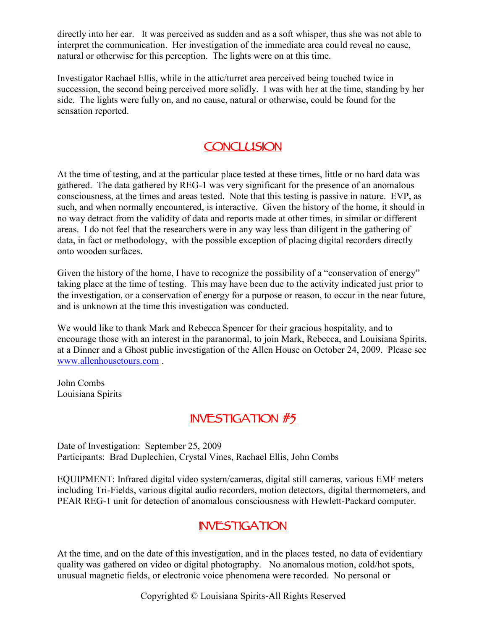directly into her ear. It was perceived as sudden and as a soft whisper, thus she was not able to interpret the communication. Her investigation of the immediate area could reveal no cause, natural or otherwise for this perception. The lights were on at this time.

Investigator Rachael Ellis, while in the attic/turret area perceived being touched twice in succession, the second being perceived more solidly. I was with her at the time, standing by her side. The lights were fully on, and no cause, natural or otherwise, could be found for the sensation reported.

## **CONCLUSION**

At the time of testing, and at the particular place tested at these times, little or no hard data was gathered. The data gathered by REG-1 was very significant for the presence of an anomalous consciousness, at the times and areas tested. Note that this testing is passive in nature. EVP, as such, and when normally encountered, is interactive. Given the history of the home, it should in no way detract from the validity of data and reports made at other times, in similar or different areas. I do not feel that the researchers were in any way less than diligent in the gathering of data, in fact or methodology, with the possible exception of placing digital recorders directly onto wooden surfaces.

Given the history of the home, I have to recognize the possibility of a "conservation of energy" taking place at the time of testing. This may have been due to the activity indicated just prior to the investigation, or a conservation of energy for a purpose or reason, to occur in the near future, and is unknown at the time this investigation was conducted.

We would like to thank Mark and Rebecca Spencer for their gracious hospitality, and to encourage those with an interest in the paranormal, to join Mark, Rebecca, and Louisiana Spirits, at a Dinner and a Ghost public investigation of the Allen House on October 24, 2009. Please see www.allenhousetours.com .

John Combs Louisiana Spirits

#### **INVESTIGATION #5**

Date of Investigation: September 25, 2009 Participants: Brad Duplechien, Crystal Vines, Rachael Ellis, John Combs

EQUIPMENT: Infrared digital video system/cameras, digital still cameras, various EMF meters including Tri-Fields, various digital audio recorders, motion detectors, digital thermometers, and PEAR REG-1 unit for detection of anomalous consciousness with Hewlett-Packard computer.

### **INVESTIGATION**

At the time, and on the date of this investigation, and in the places tested, no data of evidentiary quality was gathered on video or digital photography. No anomalous motion, cold/hot spots, unusual magnetic fields, or electronic voice phenomena were recorded. No personal or

Copyrighted © Louisiana Spirits-All Rights Reserved